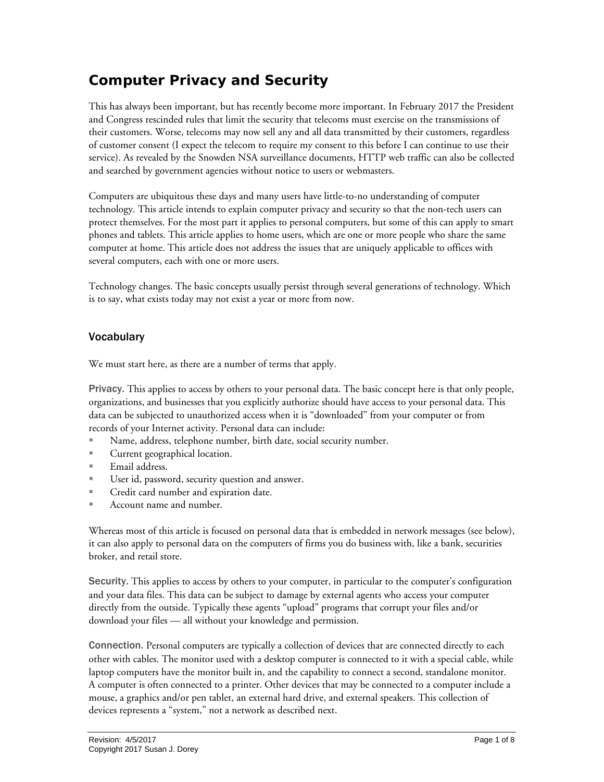## **Computer Privacy and Security**

This has always been important, but has recently become more important. In February 2017 the President and Congress rescinded rules that limit the security that telecoms must exercise on the transmissions of their customers. Worse, telecoms may now sell any and all data transmitted by their customers, regardless of customer consent (I expect the telecom to require my consent to this before I can continue to use their service). As revealed by the Snowden NSA surveillance documents, HTTP web traffic can also be collected and searched by government agencies without notice to users or webmasters.

Computers are ubiquitous these days and many users have little-to-no understanding of computer technology. This article intends to explain computer privacy and security so that the non-tech users can protect themselves. For the most part it applies to personal computers, but some of this can apply to smart phones and tablets. This article applies to home users, which are one or more people who share the same computer at home. This article does not address the issues that are uniquely applicable to offices with several computers, each with one or more users.

Technology changes. The basic concepts usually persist through several generations of technology. Which is to say, what exists today may not exist a year or more from now.

## Vocabulary

We must start here, as there are a number of terms that apply.

Privacy. This applies to access by others to your personal data. The basic concept here is that only people, organizations, and businesses that you explicitly authorize should have access to your personal data. This data can be subjected to unauthorized access when it is "downloaded" from your computer or from records of your Internet activity. Personal data can include:

- Name, address, telephone number, birth date, social security number.
- **Current geographical location.**
- Email address.
- User id, password, security question and answer.
- **Credit card number and expiration date.**
- **Account name and number.**

Whereas most of this article is focused on personal data that is embedded in network messages (see below), it can also apply to personal data on the computers of firms you do business with, like a bank, securities broker, and retail store.

Security. This applies to access by others to your computer, in particular to the computer's configuration and your data files. This data can be subject to damage by external agents who access your computer directly from the outside. Typically these agents "upload" programs that corrupt your files and/or download your files — all without your knowledge and permission.

Connection. Personal computers are typically a collection of devices that are connected directly to each other with cables. The monitor used with a desktop computer is connected to it with a special cable, while laptop computers have the monitor built in, and the capability to connect a second, standalone monitor. A computer is often connected to a printer. Other devices that may be connected to a computer include a mouse, a graphics and/or pen tablet, an external hard drive, and external speakers. This collection of devices represents a "system," not a network as described next.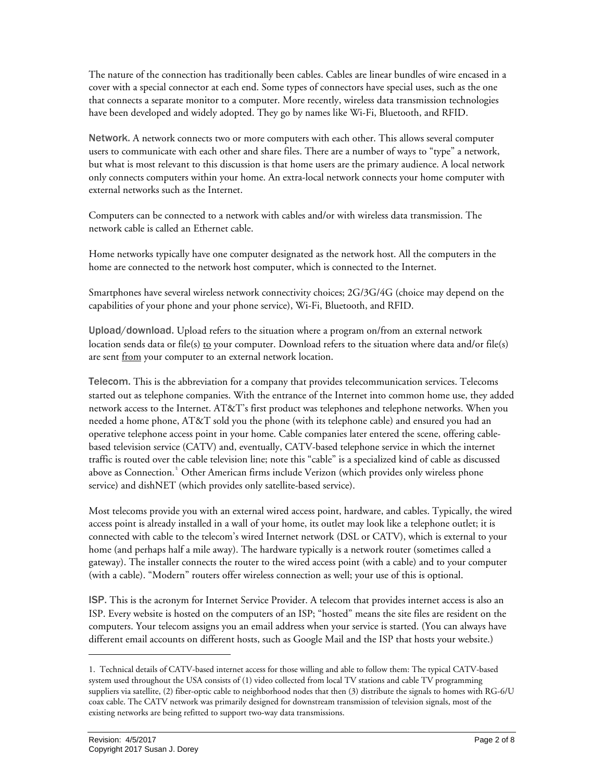The nature of the connection has traditionally been cables. Cables are linear bundles of wire encased in a cover with a special connector at each end. Some types of connectors have special uses, such as the one that connects a separate monitor to a computer. More recently, wireless data transmission technologies have been developed and widely adopted. They go by names like Wi-Fi, Bluetooth, and RFID.

Network. A network connects two or more computers with each other. This allows several computer users to communicate with each other and share files. There are a number of ways to "type" a network, but what is most relevant to this discussion is that home users are the primary audience. A local network only connects computers within your home. An extra-local network connects your home computer with external networks such as the Internet.

Computers can be connected to a network with cables and/or with wireless data transmission. The network cable is called an Ethernet cable.

Home networks typically have one computer designated as the network host. All the computers in the home are connected to the network host computer, which is connected to the Internet.

Smartphones have several wireless network connectivity choices; 2G/3G/4G (choice may depend on the capabilities of your phone and your phone service), Wi-Fi, Bluetooth, and RFID.

Upload/download. Upload refers to the situation where a program on/from an external network location sends data or file(s) to your computer. Download refers to the situation where data and/or file(s) are sent from your computer to an external network location.

Telecom. This is the abbreviation for a company that provides telecommunication services. Telecoms started out as telephone companies. With the entrance of the Internet into common home use, they added network access to the Internet. AT&T's first product was telephones and telephone networks. When you needed a home phone, AT&T sold you the phone (with its telephone cable) and ensured you had an operative telephone access point in your home. Cable companies later entered the scene, offering cablebased television service (CATV) and, eventually, CATV-based telephone service in which the internet traffic is routed over the cable television line; note this "cable" is a specialized kind of cable as discussed above as Connection.<sup>[1](#page-1-0)</sup> Other American firms include Verizon (which provides only wireless phone service) and dishNET (which provides only satellite-based service).

Most telecoms provide you with an external wired access point, hardware, and cables. Typically, the wired access point is already installed in a wall of your home, its outlet may look like a telephone outlet; it is connected with cable to the telecom's wired Internet network (DSL or CATV), which is external to your home (and perhaps half a mile away). The hardware typically is a network router (sometimes called a gateway). The installer connects the router to the wired access point (with a cable) and to your computer (with a cable). "Modern" routers offer wireless connection as well; your use of this is optional.

ISP. This is the acronym for Internet Service Provider. A telecom that provides internet access is also an ISP. Every website is hosted on the computers of an ISP; "hosted" means the site files are resident on the computers. Your telecom assigns you an email address when your service is started. (You can always have different email accounts on different hosts, such as Google Mail and the ISP that hosts your website.)

j

<span id="page-1-0"></span><sup>1.</sup> Technical details of CATV-based internet access for those willing and able to follow them: The typical CATV-based system used throughout the USA consists of (1) video collected from local TV stations and cable TV programming suppliers via satellite, (2) fiber-optic cable to neighborhood nodes that then (3) distribute the signals to homes with RG-6/U coax cable. The CATV network was primarily designed for downstream transmission of television signals, most of the existing networks are being refitted to support two-way data transmissions.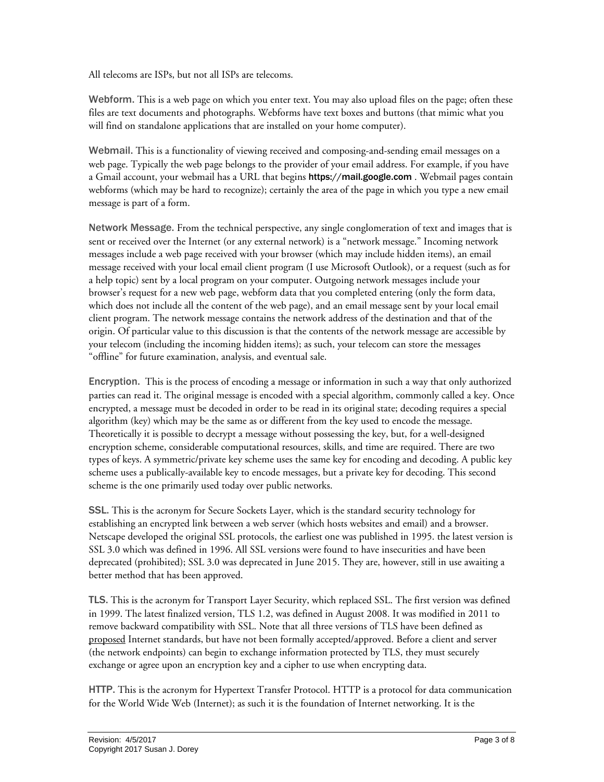All telecoms are ISPs, but not all ISPs are telecoms.

Webform. This is a web page on which you enter text. You may also upload files on the page; often these files are text documents and photographs. Webforms have text boxes and buttons (that mimic what you will find on standalone applications that are installed on your home computer).

Webmail. This is a functionality of viewing received and composing-and-sending email messages on a web page. Typically the web page belongs to the provider of your email address. For example, if you have a Gmail account, your webmail has a URL that begins **https://mail.google.com**. Webmail pages contain webforms (which may be hard to recognize); certainly the area of the page in which you type a new email message is part of a form.

Network Message. From the technical perspective, any single conglomeration of text and images that is sent or received over the Internet (or any external network) is a "network message." Incoming network messages include a web page received with your browser (which may include hidden items), an email message received with your local email client program (I use Microsoft Outlook), or a request (such as for a help topic) sent by a local program on your computer. Outgoing network messages include your browser's request for a new web page, webform data that you completed entering (only the form data, which does not include all the content of the web page), and an email message sent by your local email client program. The network message contains the network address of the destination and that of the origin. Of particular value to this discussion is that the contents of the network message are accessible by your telecom (including the incoming hidden items); as such, your telecom can store the messages "offline" for future examination, analysis, and eventual sale.

Encryption. This is the process of encoding a message or information in such a way that only authorized parties can read it. The original message is encoded with a special algorithm, commonly called a key. Once encrypted, a message must be decoded in order to be read in its original state; decoding requires a special algorithm (key) which may be the same as or different from the key used to encode the message. Theoretically it is possible to decrypt a message without possessing the key, but, for a well-designed encryption scheme, considerable computational resources, skills, and time are required. There are two types of keys. A symmetric/private key scheme uses the same key for encoding and decoding. A public key scheme uses a publically-available key to encode messages, but a private key for decoding. This second scheme is the one primarily used today over public networks.

SSL. This is the acronym for Secure Sockets Layer, which is the standard security technology for establishing an encrypted link between a web server (which hosts websites and email) and a browser. Netscape developed the original SSL protocols, the earliest one was published in 1995. the latest version is SSL 3.0 which was defined in 1996. All SSL versions were found to have insecurities and have been deprecated (prohibited); SSL 3.0 was deprecated in June 2015. They are, however, still in use awaiting a better method that has been approved.

TLS. This is the acronym for Transport Layer Security, which replaced SSL. The first version was defined in 1999. The latest finalized version, TLS 1.2, was defined in August 2008. It was modified in 2011 to remove backward compatibility with SSL. Note that all three versions of TLS have been defined as proposed Internet standards, but have not been formally accepted/approved. Before a client and server (the network endpoints) can begin to exchange information protected by TLS, they must securely exchange or agree upon an encryption key and a cipher to use when encrypting data.

HTTP. This is the acronym for Hypertext Transfer Protocol. HTTP is a protocol for data communication for the World Wide Web (Internet); as such it is the foundation of Internet networking. It is the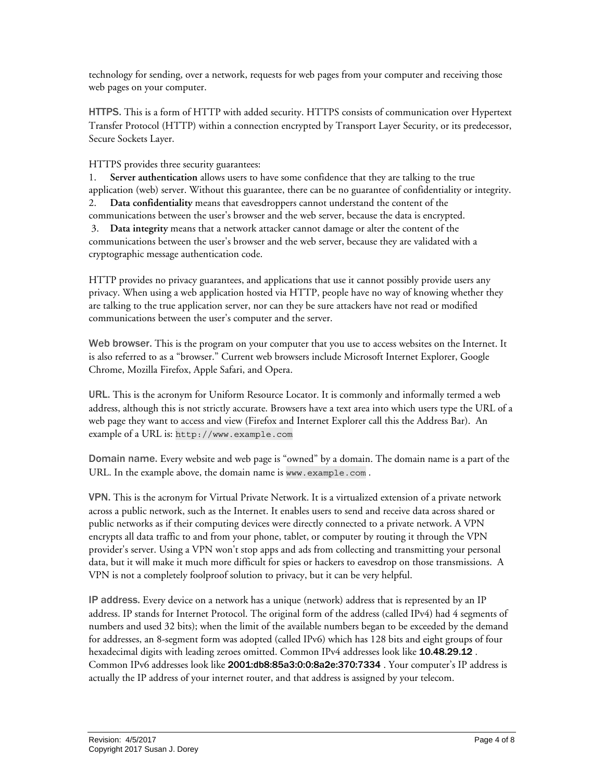technology for sending, over a network, requests for web pages from your computer and receiving those web pages on your computer.

HTTPS. This is a form of HTTP with added security. HTTPS consists of communication over Hypertext Transfer Protocol (HTTP) within a connection encrypted by Transport Layer Security, or its predecessor, Secure Sockets Layer.

HTTPS provides three security guarantees:

1. **Server authentication** allows users to have some confidence that they are talking to the true application (web) server. Without this guarantee, there can be no guarantee of confidentiality or integrity. 2. **Data confidentiality** means that eavesdroppers cannot understand the content of the communications between the user's browser and the web server, because the data is encrypted. 3. **Data integrity** means that a network attacker cannot damage or alter the content of the communications between the user's browser and the web server, because they are validated with a cryptographic message authentication code.

HTTP provides no privacy guarantees, and applications that use it cannot possibly provide users any privacy. When using a web application hosted via HTTP, people have no way of knowing whether they are talking to the true application server, nor can they be sure attackers have not read or modified communications between the user's computer and the server.

Web browser. This is the program on your computer that you use to access websites on the Internet. It is also referred to as a "browser." Current web browsers include Microsoft Internet Explorer, Google Chrome, Mozilla Firefox, Apple Safari, and Opera.

URL. This is the acronym for Uniform Resource Locator. It is commonly and informally termed a web address, although this is not strictly accurate. Browsers have a text area into which users type the URL of a web page they want to access and view (Firefox and Internet Explorer call this the Address Bar). An example of a URL is: http://www.example.com

Domain name. Every website and web page is "owned" by a domain. The domain name is a part of the URL. In the example above, the domain name is www.example.com .

VPN. This is the acronym for Virtual Private Network. It is a virtualized extension of a private network across a public network, such as the Internet. It enables users to send and receive data across shared or public networks as if their computing devices were directly connected to a private network. A VPN encrypts all data traffic to and from your phone, tablet, or computer by routing it through the VPN provider's server. Using a VPN won't stop apps and ads from collecting and transmitting your personal data, but it will make it much more difficult for spies or hackers to eavesdrop on those transmissions. A VPN is not a completely foolproof solution to privacy, but it can be very helpful.

IP address. Every device on a network has a unique (network) address that is represented by an IP address. IP stands for Internet Protocol. The original form of the address (called IPv4) had 4 segments of numbers and used 32 bits); when the limit of the available numbers began to be exceeded by the demand for addresses, an 8-segment form was adopted (called IPv6) which has 128 bits and eight groups of four hexadecimal digits with leading zeroes omitted. Common IPv4 addresses look like 10.48.29.12. Common IPv6 addresses look like 2001:db8:85a3:0:0:8a2e:370:7334 . Your computer's IP address is actually the IP address of your internet router, and that address is assigned by your telecom.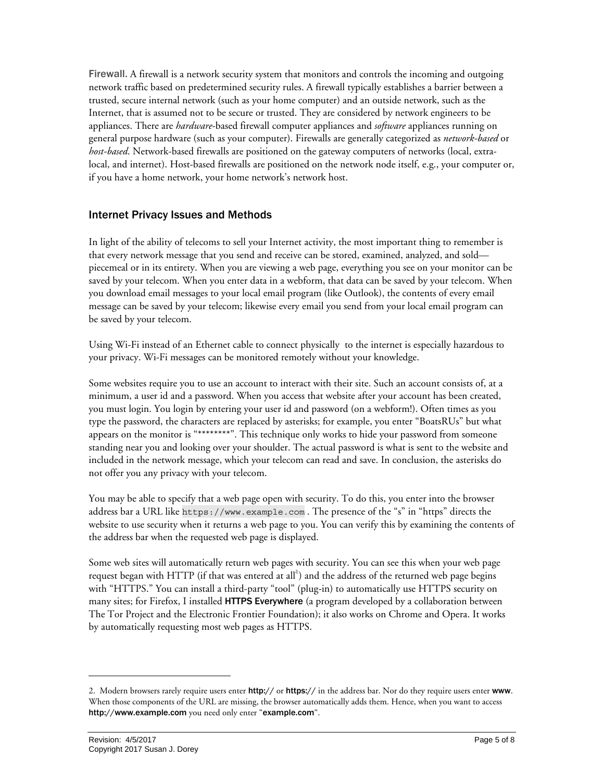Firewall. A firewall is a network security system that monitors and controls the incoming and outgoing network traffic based on predetermined security rules. A firewall typically establishes a barrier between a trusted, secure internal network (such as your home computer) and an outside network, such as the Internet, that is assumed not to be secure or trusted. They are considered by network engineers to be appliances. There are *hardware*-based firewall computer appliances and *software* appliances running on general purpose hardware (such as your computer). Firewalls are generally categorized as *network-based* or *host-based*. Network-based firewalls are positioned on the gateway computers of networks (local, extralocal, and internet). Host-based firewalls are positioned on the network node itself, e.g., your computer or, if you have a home network, your home network's network host.

## Internet Privacy Issues and Methods

In light of the ability of telecoms to sell your Internet activity, the most important thing to remember is that every network message that you send and receive can be stored, examined, analyzed, and sold piecemeal or in its entirety. When you are viewing a web page, everything you see on your monitor can be saved by your telecom. When you enter data in a webform, that data can be saved by your telecom. When you download email messages to your local email program (like Outlook), the contents of every email message can be saved by your telecom; likewise every email you send from your local email program can be saved by your telecom.

Using Wi-Fi instead of an Ethernet cable to connect physically to the internet is especially hazardous to your privacy. Wi-Fi messages can be monitored remotely without your knowledge.

Some websites require you to use an account to interact with their site. Such an account consists of, at a minimum, a user id and a password. When you access that website after your account has been created, you must login. You login by entering your user id and password (on a webform!). Often times as you type the password, the characters are replaced by asterisks; for example, you enter "BoatsRUs" but what appears on the monitor is "\*\*\*\*\*\*\*\*". This technique only works to hide your password from someone standing near you and looking over your shoulder. The actual password is what is sent to the website and included in the network message, which your telecom can read and save. In conclusion, the asterisks do not offer you any privacy with your telecom.

You may be able to specify that a web page open with security. To do this, you enter into the browser address bar a URL like https://www.example.com . The presence of the "s" in "https" directs the website to use security when it returns a web page to you. You can verify this by examining the contents of the address bar when the requested web page is displayed.

Some web sites will automatically return web pages with security. You can see this when your web page request began with HTTP (if that was entered at all<sup>2</sup>) and the address of the returned web page begins with "HTTPS." You can install a third-party "tool" (plug-in) to automatically use HTTPS security on many sites; for Firefox, I installed HTTPS Everywhere (a program developed by a collaboration between The Tor Project and the Electronic Frontier Foundation); it also works on Chrome and Opera. It works by automatically requesting most web pages as HTTPS.

-

<span id="page-4-0"></span><sup>2.</sup> Modern browsers rarely require users enter http:// or https:// in the address bar. Nor do they require users enter www. When those components of the URL are missing, the browser automatically adds them. Hence, when you want to access http://www.example.com you need only enter "example.com".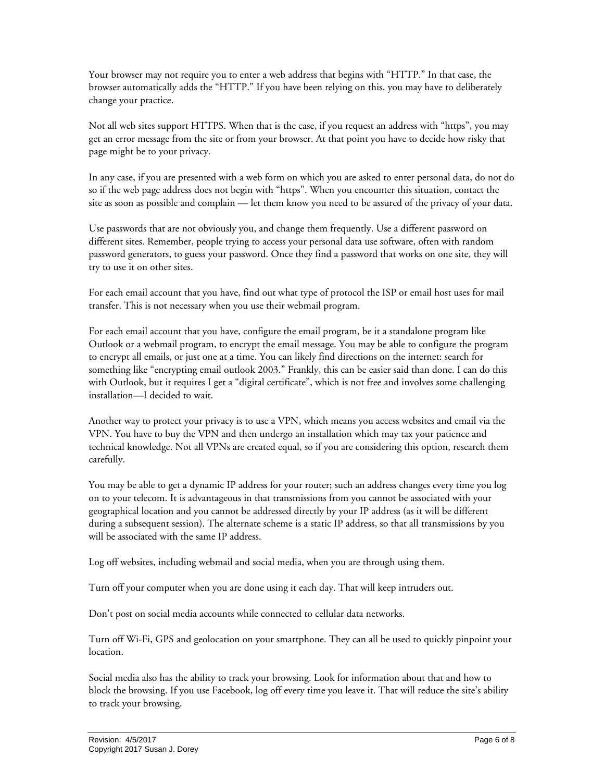Your browser may not require you to enter a web address that begins with "HTTP." In that case, the browser automatically adds the "HTTP." If you have been relying on this, you may have to deliberately change your practice.

Not all web sites support HTTPS. When that is the case, if you request an address with "https", you may get an error message from the site or from your browser. At that point you have to decide how risky that page might be to your privacy.

In any case, if you are presented with a web form on which you are asked to enter personal data, do not do so if the web page address does not begin with "https". When you encounter this situation, contact the site as soon as possible and complain — let them know you need to be assured of the privacy of your data.

Use passwords that are not obviously you, and change them frequently. Use a different password on different sites. Remember, people trying to access your personal data use software, often with random password generators, to guess your password. Once they find a password that works on one site, they will try to use it on other sites.

For each email account that you have, find out what type of protocol the ISP or email host uses for mail transfer. This is not necessary when you use their webmail program.

For each email account that you have, configure the email program, be it a standalone program like Outlook or a webmail program, to encrypt the email message. You may be able to configure the program to encrypt all emails, or just one at a time. You can likely find directions on the internet: search for something like "encrypting email outlook 2003." Frankly, this can be easier said than done. I can do this with Outlook, but it requires I get a "digital certificate", which is not free and involves some challenging installation—I decided to wait.

Another way to protect your privacy is to use a VPN, which means you access websites and email via the VPN. You have to buy the VPN and then undergo an installation which may tax your patience and technical knowledge. Not all VPNs are created equal, so if you are considering this option, research them carefully.

You may be able to get a dynamic IP address for your router; such an address changes every time you log on to your telecom. It is advantageous in that transmissions from you cannot be associated with your geographical location and you cannot be addressed directly by your IP address (as it will be different during a subsequent session). The alternate scheme is a static IP address, so that all transmissions by you will be associated with the same IP address.

Log off websites, including webmail and social media, when you are through using them.

Turn off your computer when you are done using it each day. That will keep intruders out.

Don't post on social media accounts while connected to cellular data networks.

Turn off Wi-Fi, GPS and geolocation on your smartphone. They can all be used to quickly pinpoint your location.

Social media also has the ability to track your browsing. Look for information about that and how to block the browsing. If you use Facebook, log off every time you leave it. That will reduce the site's ability to track your browsing.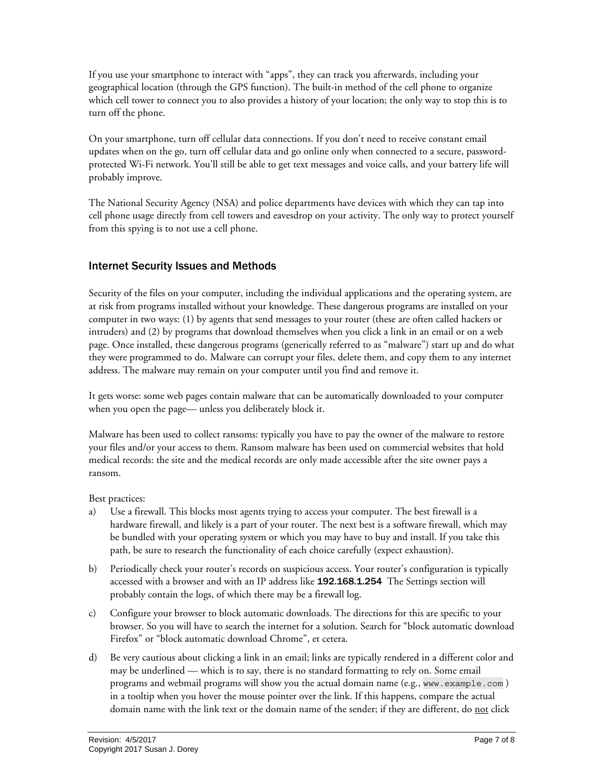If you use your smartphone to interact with "apps", they can track you afterwards, including your geographical location (through the GPS function). The built-in method of the cell phone to organize which cell tower to connect you to also provides a history of your location; the only way to stop this is to turn off the phone.

On your smartphone, turn off cellular data connections. If you don't need to receive constant email updates when on the go, turn off cellular data and go online only when connected to a secure, passwordprotected Wi-Fi network. You'll still be able to get text messages and voice calls, and your battery life will probably improve.

The National Security Agency (NSA) and police departments have devices with which they can tap into cell phone usage directly from cell towers and eavesdrop on your activity. The only way to protect yourself from this spying is to not use a cell phone.

## Internet Security Issues and Methods

Security of the files on your computer, including the individual applications and the operating system, are at risk from programs installed without your knowledge. These dangerous programs are installed on your computer in two ways: (1) by agents that send messages to your router (these are often called hackers or intruders) and (2) by programs that download themselves when you click a link in an email or on a web page. Once installed, these dangerous programs (generically referred to as "malware") start up and do what they were programmed to do. Malware can corrupt your files, delete them, and copy them to any internet address. The malware may remain on your computer until you find and remove it.

It gets worse: some web pages contain malware that can be automatically downloaded to your computer when you open the page— unless you deliberately block it.

Malware has been used to collect ransoms: typically you have to pay the owner of the malware to restore your files and/or your access to them. Ransom malware has been used on commercial websites that hold medical records: the site and the medical records are only made accessible after the site owner pays a ransom.

Best practices:

- a) Use a firewall. This blocks most agents trying to access your computer. The best firewall is a hardware firewall, and likely is a part of your router. The next best is a software firewall, which may be bundled with your operating system or which you may have to buy and install. If you take this path, be sure to research the functionality of each choice carefully (expect exhaustion).
- b) Periodically check your router's records on suspicious access. Your router's configuration is typically accessed with a browser and with an IP address like 192.168.1.254 The Settings section will probably contain the logs, of which there may be a firewall log.
- c) Configure your browser to block automatic downloads. The directions for this are specific to your browser. So you will have to search the internet for a solution. Search for "block automatic download Firefox" or "block automatic download Chrome", et cetera.
- d) Be very cautious about clicking a link in an email; links are typically rendered in a different color and may be underlined — which is to say, there is no standard formatting to rely on. Some email programs and webmail programs will show you the actual domain name (e.g., www.example.com ) in a tooltip when you hover the mouse pointer over the link. If this happens, compare the actual domain name with the link text or the domain name of the sender; if they are different, do not click